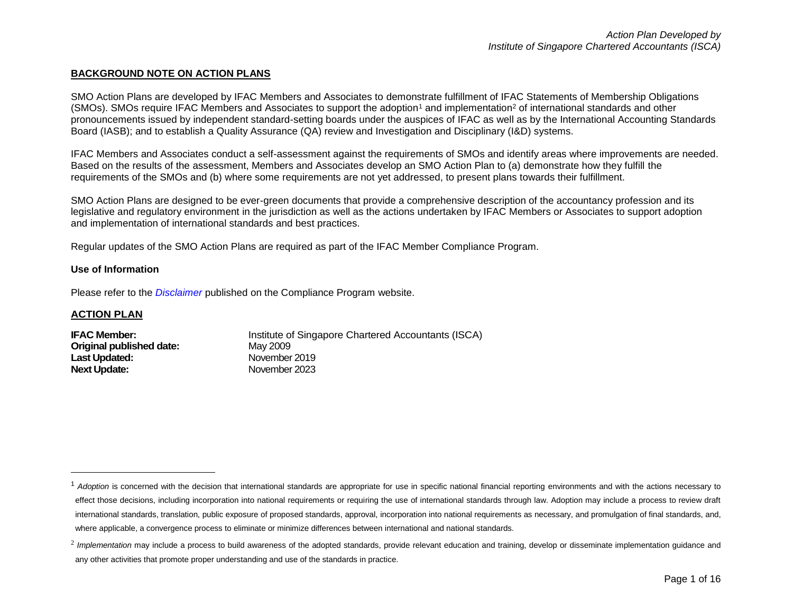# **BACKGROUND NOTE ON ACTION PLANS**

SMO Action Plans are developed by IFAC Members and Associates to demonstrate fulfillment of IFAC Statements of Membership Obligations (SMOs). SMOs require IFAC Members and Associates to support the adoption<sup>1</sup> and implementation<sup>2</sup> of international standards and other pronouncements issued by independent standard-setting boards under the auspices of IFAC as well as by the International Accounting Standards Board (IASB); and to establish a Quality Assurance (QA) review and Investigation and Disciplinary (I&D) systems.

IFAC Members and Associates conduct a self-assessment against the requirements of SMOs and identify areas where improvements are needed. Based on the results of the assessment, Members and Associates develop an SMO Action Plan to (a) demonstrate how they fulfill the requirements of the SMOs and (b) where some requirements are not yet addressed, to present plans towards their fulfillment.

SMO Action Plans are designed to be ever-green documents that provide a comprehensive description of the accountancy profession and its legislative and regulatory environment in the jurisdiction as well as the actions undertaken by IFAC Members or Associates to support adoption and implementation of international standards and best practices.

Regular updates of the SMO Action Plans are required as part of the IFAC Member Compliance Program.

## **Use of Information**

Please refer to the *[Disclaimer](http://www.ifac.org/about-ifac/membership/members/disclaimer)* published on the Compliance Program website.

## **ACTION PLAN**

 $\overline{a}$ 

| Institute of Singapore Chartered Accountants (ISCA) |
|-----------------------------------------------------|
| May 2009                                            |
| November 2019                                       |
| November 2023                                       |
|                                                     |

<sup>&</sup>lt;sup>1</sup> Adoption is concerned with the decision that international standards are appropriate for use in specific national financial reporting environments and with the actions necessary to effect those decisions, including incorporation into national requirements or requiring the use of international standards through law. Adoption may include a process to review draft international standards, translation, public exposure of proposed standards, approval, incorporation into national requirements as necessary, and promulgation of final standards, and, where applicable, a convergence process to eliminate or minimize differences between international and national standards.

<sup>&</sup>lt;sup>2</sup> Implementation may include a process to build awareness of the adopted standards, provide relevant education and training, develop or disseminate implementation guidance and any other activities that promote proper understanding and use of the standards in practice.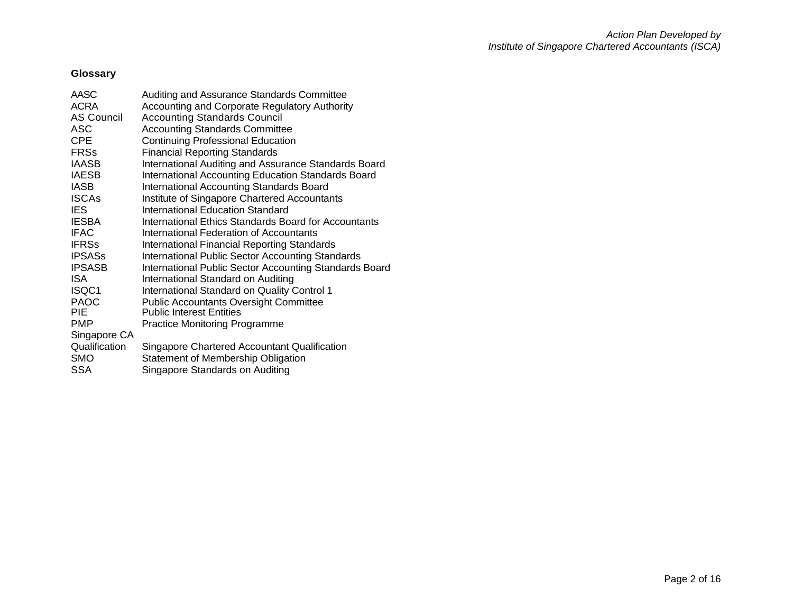# **Glossary**

| AASC              | Auditing and Assurance Standards Committee                  |
|-------------------|-------------------------------------------------------------|
| <b>ACRA</b>       | Accounting and Corporate Regulatory Authority               |
| <b>AS Council</b> | <b>Accounting Standards Council</b>                         |
| ASC               | <b>Accounting Standards Committee</b>                       |
| <b>CPE</b>        | <b>Continuing Professional Education</b>                    |
| <b>FRSs</b>       | <b>Financial Reporting Standards</b>                        |
| <b>IAASB</b>      | International Auditing and Assurance Standards Board        |
| <b>IAESB</b>      | International Accounting Education Standards Board          |
| IASB              | <b>International Accounting Standards Board</b>             |
| <b>ISCAs</b>      | Institute of Singapore Chartered Accountants                |
| IES.              | International Education Standard                            |
| <b>IESBA</b>      | <b>International Ethics Standards Board for Accountants</b> |
| <b>IFAC</b>       | International Federation of Accountants                     |
| <b>IFRSs</b>      | International Financial Reporting Standards                 |
| <b>IPSASs</b>     | <b>International Public Sector Accounting Standards</b>     |
| <b>IPSASB</b>     | International Public Sector Accounting Standards Board      |
| <b>ISA</b>        | International Standard on Auditing                          |
| ISQC1             | International Standard on Quality Control 1                 |
| <b>PAOC</b>       | <b>Public Accountants Oversight Committee</b>               |
| PIE               | <b>Public Interest Entities</b>                             |
| PMP               | Practice Monitoring Programme                               |
| Singapore CA      |                                                             |
| Qualification     | Singapore Chartered Accountant Qualification                |
| <b>SMO</b>        | Statement of Membership Obligation                          |
| <b>SSA</b>        | Singapore Standards on Auditing                             |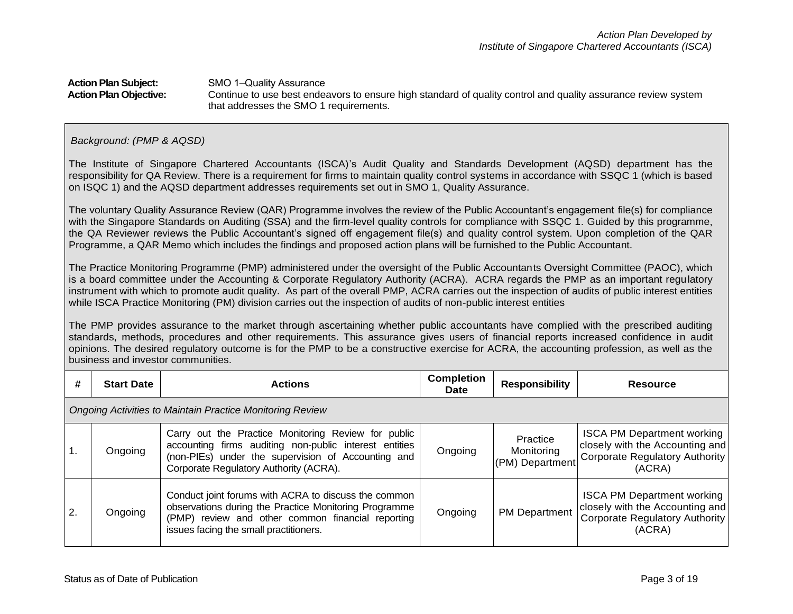#### **Action Plan Subject:** SMO 1-Quality Assurance **Action Plan Objective:** Continue to use best endeavors to ensure high standard of quality control and quality assurance review system that addresses the SMO 1 requirements.

### *Background: (PMP & AQSD)*

The Institute of Singapore Chartered Accountants (ISCA)'s Audit Quality and Standards Development (AQSD) department has the responsibility for QA Review. There is a requirement for firms to maintain quality control systems in accordance with SSQC 1 (which is based on ISQC 1) and the AQSD department addresses requirements set out in SMO 1, Quality Assurance.

The voluntary Quality Assurance Review (QAR) Programme involves the review of the Public Accountant's engagement file(s) for compliance with the Singapore Standards on Auditing (SSA) and the firm-level quality controls for compliance with SSQC 1. Guided by this programme, the QA Reviewer reviews the Public Accountant's signed off engagement file(s) and quality control system. Upon completion of the QAR Programme, a QAR Memo which includes the findings and proposed action plans will be furnished to the Public Accountant.

The Practice Monitoring Programme (PMP) administered under the oversight of the Public Accountants Oversight Committee (PAOC), which is a board committee under the Accounting & Corporate Regulatory Authority (ACRA). ACRA regards the PMP as an important regulatory instrument with which to promote audit quality. As part of the overall PMP, ACRA carries out the inspection of audits of public interest entities while ISCA Practice Monitoring (PM) division carries out the inspection of audits of non-public interest entities

The PMP provides assurance to the market through ascertaining whether public accountants have complied with the prescribed auditing standards, methods, procedures and other requirements. This assurance gives users of financial reports increased confidence in audit opinions. The desired regulatory outcome is for the PMP to be a constructive exercise for ACRA, the accounting profession, as well as the business and investor communities.

| #                | <b>Start Date</b>                                         | <b>Actions</b>                                                                                                                                                                                                | <b>Completion</b><br>Date | <b>Responsibility</b>                     | Resource                                                                                                         |  |  |
|------------------|-----------------------------------------------------------|---------------------------------------------------------------------------------------------------------------------------------------------------------------------------------------------------------------|---------------------------|-------------------------------------------|------------------------------------------------------------------------------------------------------------------|--|--|
|                  | Ongoing Activities to Maintain Practice Monitoring Review |                                                                                                                                                                                                               |                           |                                           |                                                                                                                  |  |  |
| $\mathbf{1}$ .   | Ongoing                                                   | Carry out the Practice Monitoring Review for public<br>accounting firms auditing non-public interest entities<br>(non-PIEs) under the supervision of Accounting and<br>Corporate Regulatory Authority (ACRA). | Ongoing                   | Practice<br>Monitoring<br>(PM) Department | <b>ISCA PM Department working</b><br>closely with the Accounting and<br>Corporate Regulatory Authority<br>(ACRA) |  |  |
| $\overline{2}$ . | Ongoing                                                   | Conduct joint forums with ACRA to discuss the common<br>observations during the Practice Monitoring Programme<br>(PMP) review and other common financial reporting<br>issues facing the small practitioners.  | Ongoing                   | <b>PM Department</b>                      | <b>ISCA PM Department working</b><br>closely with the Accounting and<br>Corporate Regulatory Authority<br>(ACRA) |  |  |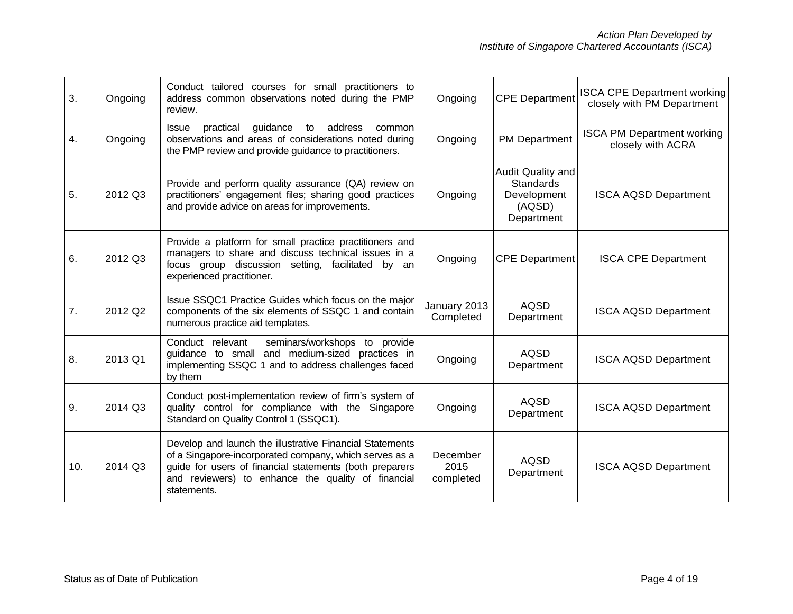| 3.  | Ongoing | Conduct tailored courses for small practitioners to<br>address common observations noted during the PMP<br>review.                                                                                                                                 | Ongoing                       | <b>CPE Department</b>                                                        | <b>ISCA CPE Department working</b><br>closely with PM Department |
|-----|---------|----------------------------------------------------------------------------------------------------------------------------------------------------------------------------------------------------------------------------------------------------|-------------------------------|------------------------------------------------------------------------------|------------------------------------------------------------------|
| 4.  | Ongoing | practical<br>guidance to address<br><b>Issue</b><br>common<br>observations and areas of considerations noted during<br>the PMP review and provide guidance to practitioners.                                                                       | Ongoing                       | <b>PM Department</b>                                                         | <b>ISCA PM Department working</b><br>closely with ACRA           |
| 5.  | 2012 Q3 | Provide and perform quality assurance (QA) review on<br>practitioners' engagement files; sharing good practices<br>and provide advice on areas for improvements.                                                                                   | Ongoing                       | Audit Quality and<br><b>Standards</b><br>Development<br>(AQSD)<br>Department | <b>ISCA AQSD Department</b>                                      |
| 6.  | 2012 Q3 | Provide a platform for small practice practitioners and<br>managers to share and discuss technical issues in a<br>focus group discussion setting, facilitated by an<br>experienced practitioner.                                                   | Ongoing                       | <b>CPE Department</b>                                                        | <b>ISCA CPE Department</b>                                       |
| 7.  | 2012 Q2 | Issue SSQC1 Practice Guides which focus on the major<br>components of the six elements of SSQC 1 and contain<br>numerous practice aid templates.                                                                                                   | January 2013<br>Completed     | <b>AQSD</b><br>Department                                                    | <b>ISCA AQSD Department</b>                                      |
| 8.  | 2013 Q1 | seminars/workshops to provide<br>Conduct relevant<br>guidance to small and medium-sized practices in<br>implementing SSQC 1 and to address challenges faced<br>by them                                                                             | Ongoing                       | <b>AQSD</b><br>Department                                                    | <b>ISCA AQSD Department</b>                                      |
| 9.  | 2014 Q3 | Conduct post-implementation review of firm's system of<br>quality control for compliance with the Singapore<br>Standard on Quality Control 1 (SSQC1).                                                                                              | Ongoing                       | <b>AQSD</b><br>Department                                                    | <b>ISCA AQSD Department</b>                                      |
| 10. | 2014 Q3 | Develop and launch the illustrative Financial Statements<br>of a Singapore-incorporated company, which serves as a<br>guide for users of financial statements (both preparers<br>and reviewers) to enhance the quality of financial<br>statements. | December<br>2015<br>completed | <b>AQSD</b><br>Department                                                    | <b>ISCA AQSD Department</b>                                      |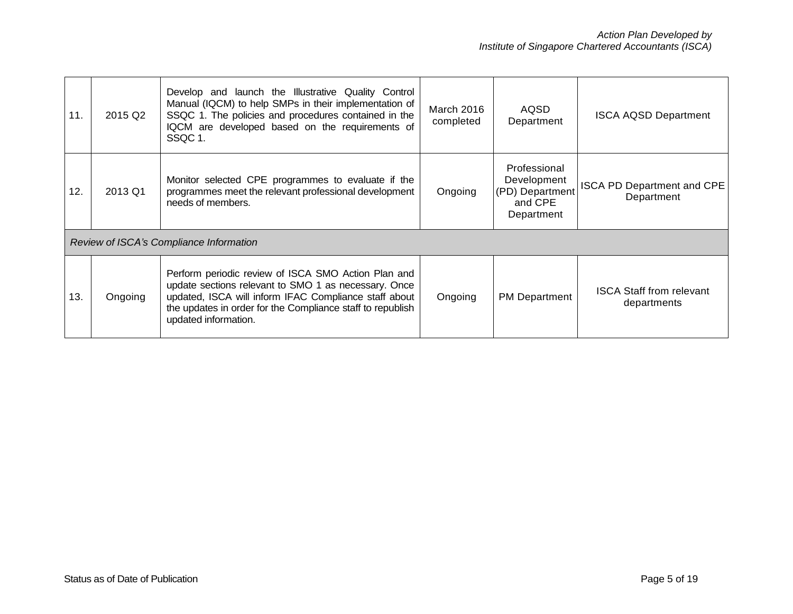| 11. | 2015 Q2 | Develop and launch the Illustrative Quality Control<br>Manual (IQCM) to help SMPs in their implementation of<br>SSQC 1. The policies and procedures contained in the<br>IQCM are developed based on the requirements of<br>SSQC 1.                         | March 2016<br>completed | AQSD<br>Department                                                      | <b>ISCA AQSD Department</b>                     |
|-----|---------|------------------------------------------------------------------------------------------------------------------------------------------------------------------------------------------------------------------------------------------------------------|-------------------------|-------------------------------------------------------------------------|-------------------------------------------------|
| 12. | 2013 Q1 | Monitor selected CPE programmes to evaluate if the<br>programmes meet the relevant professional development<br>needs of members.                                                                                                                           | Ongoing                 | Professional<br>Development<br>(PD) Department<br>and CPE<br>Department | <b>ISCA PD Department and CPE</b><br>Department |
|     |         | Review of ISCA's Compliance Information                                                                                                                                                                                                                    |                         |                                                                         |                                                 |
| 13. | Ongoing | Perform periodic review of ISCA SMO Action Plan and<br>update sections relevant to SMO 1 as necessary. Once<br>updated, ISCA will inform IFAC Compliance staff about<br>the updates in order for the Compliance staff to republish<br>updated information. | Ongoing                 | <b>PM Department</b>                                                    | <b>ISCA Staff from relevant</b><br>departments  |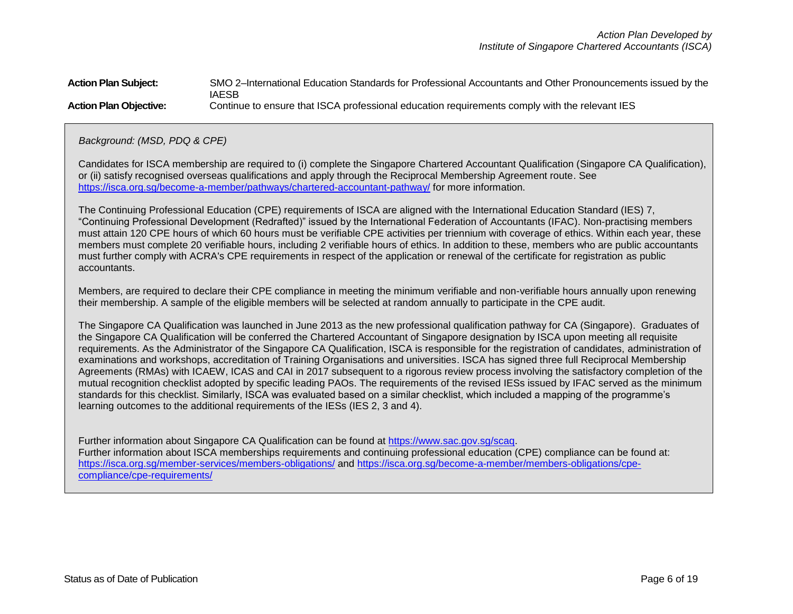## **Action Plan Subject:** SMO 2–International Education Standards for Professional Accountants and Other Pronouncements issued by the IAESB **Action Plan Objective:** Continue to ensure that ISCA professional education requirements comply with the relevant IES

 *Background: (MSD, PDQ & CPE)*

Candidates for ISCA membership are required to (i) complete the Singapore Chartered Accountant Qualification (Singapore CA Qualification), or (ii) satisfy recognised overseas qualifications and apply through the Reciprocal Membership Agreement route. See <https://isca.org.sg/become-a-member/pathways/chartered-accountant-pathway/> for more information.

The Continuing Professional Education (CPE) requirements of ISCA are aligned with the International Education Standard (IES) 7, "Continuing Professional Development (Redrafted)" issued by the International Federation of Accountants (IFAC). Non-practising members must attain 120 CPE hours of which 60 hours must be verifiable CPE activities per triennium with coverage of ethics. Within each year, these members must complete 20 verifiable hours, including 2 verifiable hours of ethics. In addition to these, members who are public accountants must further comply with ACRA's CPE requirements in respect of the application or renewal of the certificate for registration as public accountants.

Members, are required to declare their CPE compliance in meeting the minimum verifiable and non-verifiable hours annually upon renewing their membership. A sample of the eligible members will be selected at random annually to participate in the CPE audit.

The Singapore CA Qualification was launched in June 2013 as the new professional qualification pathway for CA (Singapore). Graduates of the Singapore CA Qualification will be conferred the Chartered Accountant of Singapore designation by ISCA upon meeting all requisite requirements. As the Administrator of the Singapore CA Qualification, ISCA is responsible for the registration of candidates, administration of examinations and workshops, accreditation of Training Organisations and universities. ISCA has signed three full Reciprocal Membership Agreements (RMAs) with ICAEW, ICAS and CAI in 2017 subsequent to a rigorous review process involving the satisfactory completion of the mutual recognition checklist adopted by specific leading PAOs. The requirements of the revised IESs issued by IFAC served as the minimum standards for this checklist. Similarly, ISCA was evaluated based on a similar checklist, which included a mapping of the programme's learning outcomes to the additional requirements of the IESs (IES 2, 3 and 4).

Further information about Singapore CA Qualification can be found at [https://www.sac.gov.sg/scaq.](https://www.sac.gov.sg/scaq) Further information about ISCA memberships requirements and continuing professional education (CPE) compliance can be found at: <https://isca.org.sg/member-services/members-obligations/> and [https://isca.org.sg/become-a-member/members-obligations/cpe](https://isca.org.sg/become-a-member/members-obligations/cpe-compliance/cpe-requirements/)[compliance/cpe-requirements/](https://isca.org.sg/become-a-member/members-obligations/cpe-compliance/cpe-requirements/)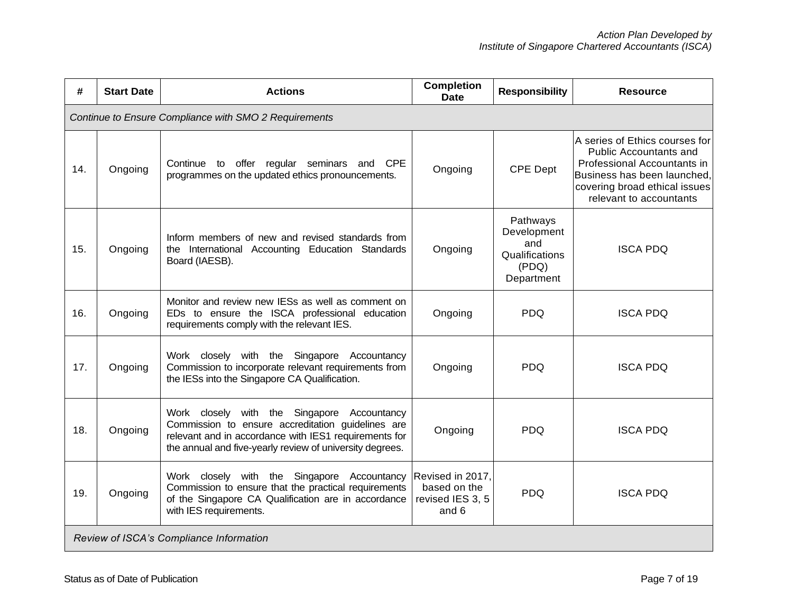| #   | <b>Start Date</b>                                     | <b>Actions</b>                                                                                                                                                                                                        | <b>Completion</b><br><b>Date</b>                              | <b>Responsibility</b>                                                   | <b>Resource</b>                                                                                                                                                                    |  |  |  |
|-----|-------------------------------------------------------|-----------------------------------------------------------------------------------------------------------------------------------------------------------------------------------------------------------------------|---------------------------------------------------------------|-------------------------------------------------------------------------|------------------------------------------------------------------------------------------------------------------------------------------------------------------------------------|--|--|--|
|     | Continue to Ensure Compliance with SMO 2 Requirements |                                                                                                                                                                                                                       |                                                               |                                                                         |                                                                                                                                                                                    |  |  |  |
| 14. | Ongoing                                               | Continue to offer regular seminars and<br><b>CPE</b><br>programmes on the updated ethics pronouncements.                                                                                                              | Ongoing                                                       | <b>CPE Dept</b>                                                         | A series of Ethics courses for<br>Public Accountants and<br>Professional Accountants in<br>Business has been launched,<br>covering broad ethical issues<br>relevant to accountants |  |  |  |
| 15. | Ongoing                                               | Inform members of new and revised standards from<br>the International Accounting Education Standards<br>Board (IAESB).                                                                                                | Ongoing                                                       | Pathways<br>Development<br>and<br>Qualifications<br>(PDQ)<br>Department | <b>ISCA PDQ</b>                                                                                                                                                                    |  |  |  |
| 16. | Ongoing                                               | Monitor and review new IESs as well as comment on<br>EDs to ensure the ISCA professional education<br>requirements comply with the relevant IES.                                                                      | Ongoing                                                       | <b>PDO</b>                                                              | <b>ISCA PDQ</b>                                                                                                                                                                    |  |  |  |
| 17. | Ongoing                                               | Work closely with the Singapore<br>Accountancy<br>Commission to incorporate relevant requirements from<br>the IESs into the Singapore CA Qualification.                                                               | Ongoing                                                       | <b>PDQ</b>                                                              | <b>ISCA PDQ</b>                                                                                                                                                                    |  |  |  |
| 18. | Ongoing                                               | Work closely with the Singapore Accountancy<br>Commission to ensure accreditation guidelines are<br>relevant and in accordance with IES1 requirements for<br>the annual and five-yearly review of university degrees. | Ongoing                                                       | <b>PDQ</b>                                                              | <b>ISCA PDQ</b>                                                                                                                                                                    |  |  |  |
| 19. | Ongoing                                               | Work closely with the Singapore Accountancy<br>Commission to ensure that the practical requirements<br>of the Singapore CA Qualification are in accordance<br>with IES requirements.                                  | Revised in 2017,<br>based on the<br>revised IES 3, 5<br>and 6 | <b>PDQ</b>                                                              | <b>ISCA PDQ</b>                                                                                                                                                                    |  |  |  |
|     |                                                       | Review of ISCA's Compliance Information                                                                                                                                                                               |                                                               |                                                                         |                                                                                                                                                                                    |  |  |  |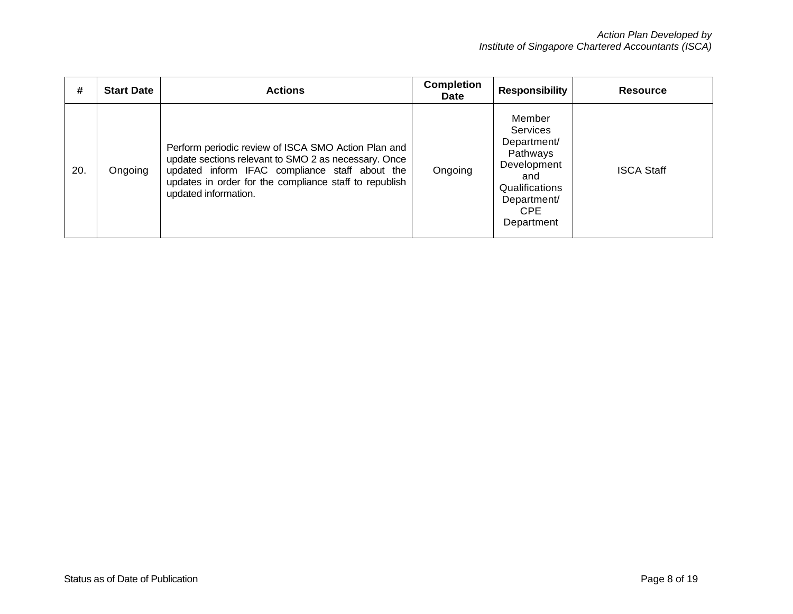| #   | <b>Start Date</b> | <b>Actions</b>                                                                                                                                                                                                                                  | <b>Completion</b><br><b>Date</b> | <b>Responsibility</b>                                                                                                                   | <b>Resource</b>   |
|-----|-------------------|-------------------------------------------------------------------------------------------------------------------------------------------------------------------------------------------------------------------------------------------------|----------------------------------|-----------------------------------------------------------------------------------------------------------------------------------------|-------------------|
| 20. | Ongoing           | Perform periodic review of ISCA SMO Action Plan and<br>update sections relevant to SMO 2 as necessary. Once<br>updated inform IFAC compliance staff about the<br>updates in order for the compliance staff to republish<br>updated information. | Ongoing                          | Member<br><b>Services</b><br>Department/<br>Pathways<br>Development<br>and<br>Qualifications<br>Department/<br><b>CPE</b><br>Department | <b>ISCA Staff</b> |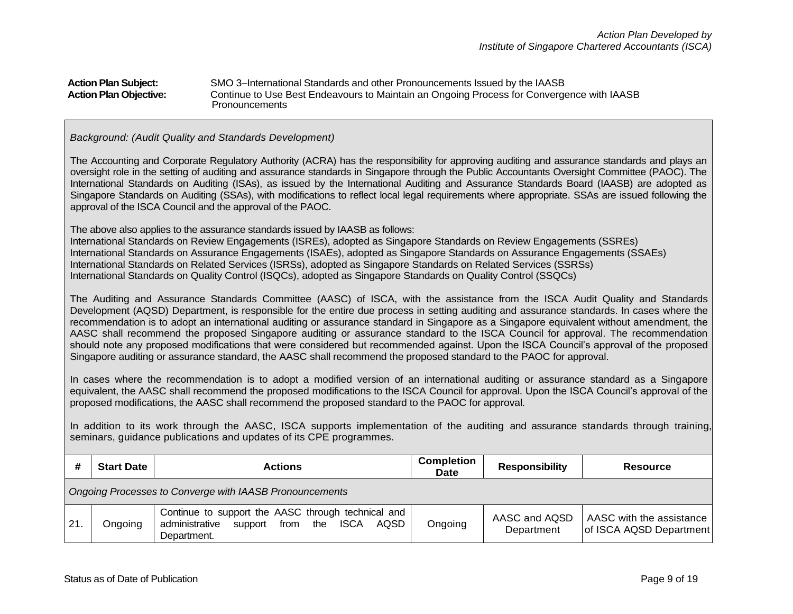| <b>Action Plan Subject:</b>   | SMO 3-International Standards and other Pronouncements Issued by the IAASB                |
|-------------------------------|-------------------------------------------------------------------------------------------|
| <b>Action Plan Objective:</b> | Continue to Use Best Endeavours to Maintain an Ongoing Process for Convergence with IAASB |
|                               | Pronouncements                                                                            |

#### *Background: (Audit Quality and Standards Development)*

The Accounting and Corporate Regulatory Authority (ACRA) has the responsibility for approving auditing and assurance standards and plays an oversight role in the setting of auditing and assurance standards in Singapore through the Public Accountants Oversight Committee (PAOC). The International Standards on Auditing (ISAs), as issued by the International Auditing and Assurance Standards Board (IAASB) are adopted as Singapore Standards on Auditing (SSAs), with modifications to reflect local legal requirements where appropriate. SSAs are issued following the approval of the ISCA Council and the approval of the PAOC.

The above also applies to the assurance standards issued by IAASB as follows:

International Standards on Review Engagements (ISREs), adopted as Singapore Standards on Review Engagements (SSREs) International Standards on Assurance Engagements (ISAEs), adopted as Singapore Standards on Assurance Engagements (SSAEs) International Standards on Related Services (ISRSs), adopted as Singapore Standards on Related Services (SSRSs) International Standards on Quality Control (ISQCs), adopted as Singapore Standards on Quality Control (SSQCs)

The Auditing and Assurance Standards Committee (AASC) of ISCA, with the assistance from the ISCA Audit Quality and Standards Development (AQSD) Department, is responsible for the entire due process in setting auditing and assurance standards. In cases where the recommendation is to adopt an international auditing or assurance standard in Singapore as a Singapore equivalent without amendment, the AASC shall recommend the proposed Singapore auditing or assurance standard to the ISCA Council for approval. The recommendation should note any proposed modifications that were considered but recommended against. Upon the ISCA Council's approval of the proposed Singapore auditing or assurance standard, the AASC shall recommend the proposed standard to the PAOC for approval.

In cases where the recommendation is to adopt a modified version of an international auditing or assurance standard as a Singapore equivalent, the AASC shall recommend the proposed modifications to the ISCA Council for approval. Upon the ISCA Council's approval of the proposed modifications, the AASC shall recommend the proposed standard to the PAOC for approval.

In addition to its work through the AASC, ISCA supports implementation of the auditing and assurance standards through training, seminars, guidance publications and updates of its CPE programmes.

|     | <b>Start Date</b>                                       | <b>Actions</b>                                                                                                                    | <b>Completion</b><br>Date | <b>Responsibility</b>       | <b>Resource</b>                                     |  |
|-----|---------------------------------------------------------|-----------------------------------------------------------------------------------------------------------------------------------|---------------------------|-----------------------------|-----------------------------------------------------|--|
|     | Ongoing Processes to Converge with IAASB Pronouncements |                                                                                                                                   |                           |                             |                                                     |  |
| 21. | Ongoing                                                 | Continue to support the AASC through technical and<br>from the<br><b>ISCA</b><br>administrative<br>support<br>AQSD<br>Department. | Ongoing                   | AASC and AQSD<br>Department | AASC with the assistance<br>of ISCA AQSD Department |  |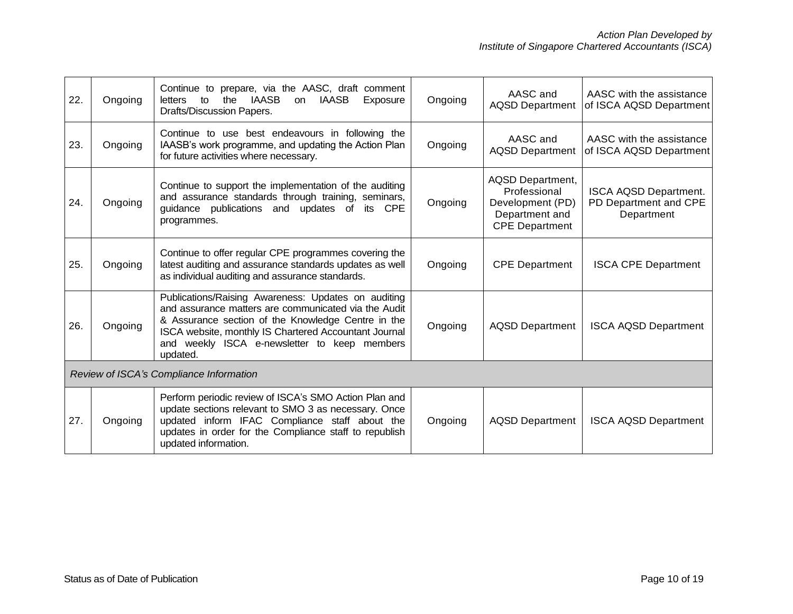| 22. | Ongoing                                 | Continue to prepare, via the AASC, draft comment<br><b>IAASB</b><br>the<br><b>IAASB</b><br>to<br>Exposure<br>letters<br>on.<br>Drafts/Discussion Papers.                                                                                                                               | Ongoing | AASC and<br><b>AQSD Department</b>                                                              | AASC with the assistance<br>of ISCA AQSD Department                 |  |
|-----|-----------------------------------------|----------------------------------------------------------------------------------------------------------------------------------------------------------------------------------------------------------------------------------------------------------------------------------------|---------|-------------------------------------------------------------------------------------------------|---------------------------------------------------------------------|--|
| 23. | Ongoing                                 | Continue to use best endeavours in following the<br>IAASB's work programme, and updating the Action Plan<br>for future activities where necessary.                                                                                                                                     | Ongoing | AASC and<br><b>AQSD Department</b>                                                              | AASC with the assistance<br>of ISCA AQSD Department                 |  |
| 24. | Ongoing                                 | Continue to support the implementation of the auditing<br>and assurance standards through training, seminars,<br>guidance publications and updates of<br><b>CPE</b><br>its<br>programmes.                                                                                              | Ongoing | AQSD Department,<br>Professional<br>Development (PD)<br>Department and<br><b>CPE Department</b> | <b>ISCA AQSD Department.</b><br>PD Department and CPE<br>Department |  |
| 25. | Ongoing                                 | Continue to offer regular CPE programmes covering the<br>latest auditing and assurance standards updates as well<br>as individual auditing and assurance standards.                                                                                                                    | Ongoing | <b>CPE Department</b>                                                                           | <b>ISCA CPE Department</b>                                          |  |
| 26. | Ongoing                                 | Publications/Raising Awareness: Updates on auditing<br>and assurance matters are communicated via the Audit<br>& Assurance section of the Knowledge Centre in the<br>ISCA website, monthly IS Chartered Accountant Journal<br>and weekly ISCA e-newsletter to keep members<br>updated. | Ongoing | <b>AQSD Department</b>                                                                          | <b>ISCA AQSD Department</b>                                         |  |
|     | Review of ISCA's Compliance Information |                                                                                                                                                                                                                                                                                        |         |                                                                                                 |                                                                     |  |
| 27. | Ongoing                                 | Perform periodic review of ISCA's SMO Action Plan and<br>update sections relevant to SMO 3 as necessary. Once<br>updated inform IFAC Compliance staff about the<br>updates in order for the Compliance staff to republish<br>updated information.                                      | Ongoing | <b>AQSD Department</b>                                                                          | <b>ISCA AQSD Department</b>                                         |  |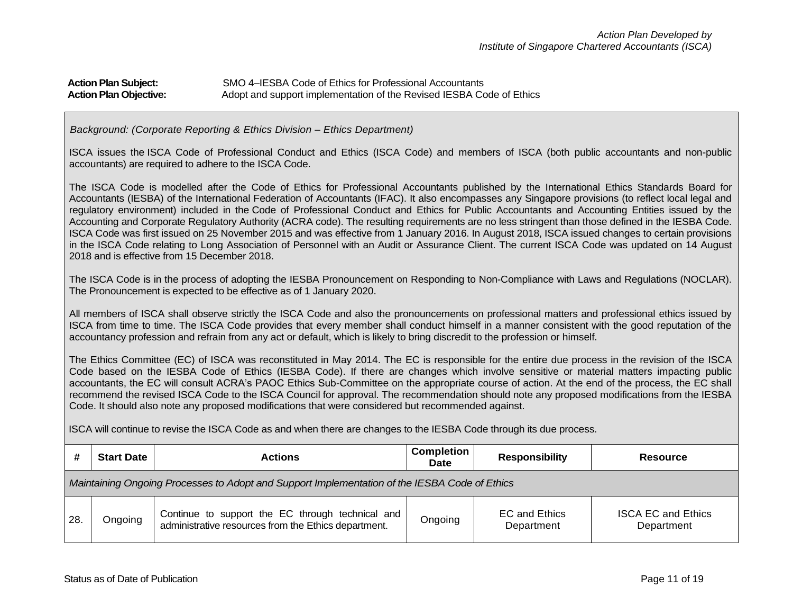# **Action Plan Subject:** SMO 4–IESBA Code of Ethics for Professional Accountants Action Plan Objective: **Adopt and support implementation of the Revised IESBA Code of Ethics**

#### *Background: (Corporate Reporting & Ethics Division – Ethics Department)*

ISCA issues the ISCA Code of Professional Conduct and Ethics (ISCA Code) and members of ISCA (both public accountants and non-public accountants) are required to adhere to the ISCA Code.

The ISCA Code is modelled after the Code of Ethics for Professional Accountants published by the International Ethics Standards Board for Accountants (IESBA) of the International Federation of Accountants (IFAC). It also encompasses any Singapore provisions (to reflect local legal and regulatory environment) included in the Code of Professional Conduct and Ethics for Public Accountants and Accounting Entities issued by the Accounting and Corporate Regulatory Authority (ACRA code). The resulting requirements are no less stringent than those defined in the IESBA Code. ISCA Code was first issued on 25 November 2015 and was effective from 1 January 2016. In August 2018, ISCA issued changes to certain provisions in the ISCA Code relating to Long Association of Personnel with an Audit or Assurance Client. The current ISCA Code was updated on 14 August 2018 and is effective from 15 December 2018.

The ISCA Code is in the process of adopting the IESBA Pronouncement on Responding to Non-Compliance with Laws and Regulations (NOCLAR). The Pronouncement is expected to be effective as of 1 January 2020.

All members of ISCA shall observe strictly the ISCA Code and also the pronouncements on professional matters and professional ethics issued by ISCA from time to time. The ISCA Code provides that every member shall conduct himself in a manner consistent with the good reputation of the accountancy profession and refrain from any act or default, which is likely to bring discredit to the profession or himself.

The Ethics Committee (EC) of ISCA was reconstituted in May 2014. The EC is responsible for the entire due process in the revision of the ISCA Code based on the IESBA Code of Ethics (IESBA Code). If there are changes which involve sensitive or material matters impacting public accountants, the EC will consult ACRA's PAOC Ethics Sub-Committee on the appropriate course of action. At the end of the process, the EC shall recommend the revised ISCA Code to the ISCA Council for approval. The recommendation should note any proposed modifications from the IESBA Code. It should also note any proposed modifications that were considered but recommended against.

ISCA will continue to revise the ISCA Code as and when there are changes to the IESBA Code through its due process.

|     | <b>Start Date</b>                                                                             | <b>Actions</b>                                                                                           | <b>Completion</b><br><b>Date</b> | <b>Responsibility</b>       | Resource                                |  |  |
|-----|-----------------------------------------------------------------------------------------------|----------------------------------------------------------------------------------------------------------|----------------------------------|-----------------------------|-----------------------------------------|--|--|
|     | Maintaining Ongoing Processes to Adopt and Support Implementation of the IESBA Code of Ethics |                                                                                                          |                                  |                             |                                         |  |  |
| 28. | Ongoing                                                                                       | Continue to support the EC through technical and<br>administrative resources from the Ethics department. | Ongoing                          | EC and Ethics<br>Department | <b>ISCA EC and Ethics</b><br>Department |  |  |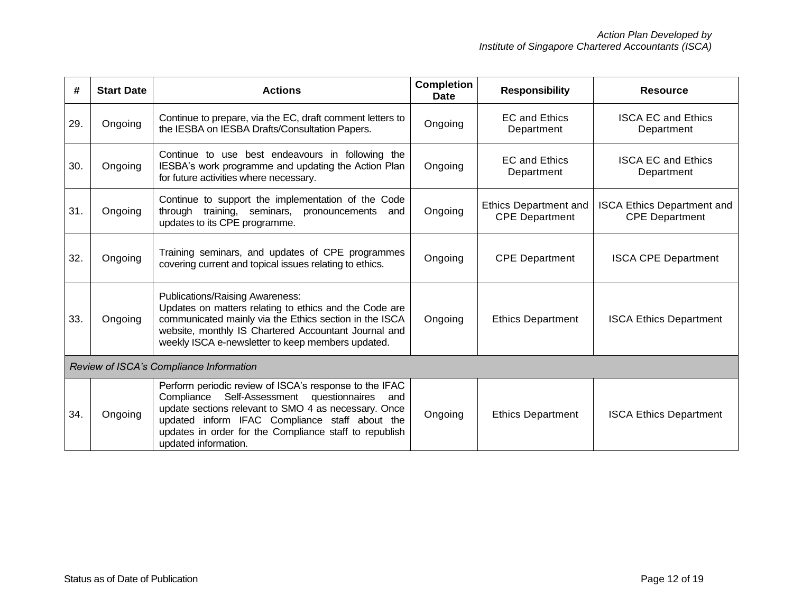| #   | <b>Start Date</b>                       | <b>Actions</b>                                                                                                                                                                                                                                                                                               | <b>Completion</b><br><b>Date</b> | <b>Responsibility</b>                                 | <b>Resource</b>                                            |  |  |
|-----|-----------------------------------------|--------------------------------------------------------------------------------------------------------------------------------------------------------------------------------------------------------------------------------------------------------------------------------------------------------------|----------------------------------|-------------------------------------------------------|------------------------------------------------------------|--|--|
| 29. | Ongoing                                 | Continue to prepare, via the EC, draft comment letters to<br>the IESBA on IESBA Drafts/Consultation Papers.                                                                                                                                                                                                  | Ongoing                          | <b>EC and Ethics</b><br>Department                    | <b>ISCA EC and Ethics</b><br>Department                    |  |  |
| 30. | Ongoing                                 | Continue to use best endeavours in following the<br>IESBA's work programme and updating the Action Plan<br>for future activities where necessary.                                                                                                                                                            | Ongoing                          | <b>EC and Ethics</b><br>Department                    | <b>ISCA EC and Ethics</b><br>Department                    |  |  |
| 31. | Ongoing                                 | Continue to support the implementation of the Code<br>through training, seminars, pronouncements<br>and<br>updates to its CPE programme.                                                                                                                                                                     | Ongoing                          | <b>Ethics Department and</b><br><b>CPE Department</b> | <b>ISCA Ethics Department and</b><br><b>CPE Department</b> |  |  |
| 32. | Ongoing                                 | Training seminars, and updates of CPE programmes<br>covering current and topical issues relating to ethics.                                                                                                                                                                                                  | Ongoing                          | <b>CPE Department</b>                                 | <b>ISCA CPE Department</b>                                 |  |  |
| 33. | Ongoing                                 | Publications/Raising Awareness:<br>Updates on matters relating to ethics and the Code are<br>communicated mainly via the Ethics section in the ISCA<br>website, monthly IS Chartered Accountant Journal and<br>weekly ISCA e-newsletter to keep members updated.                                             | Ongoing                          | <b>Ethics Department</b>                              | <b>ISCA Ethics Department</b>                              |  |  |
|     | Review of ISCA's Compliance Information |                                                                                                                                                                                                                                                                                                              |                                  |                                                       |                                                            |  |  |
| 34. | Ongoing                                 | Perform periodic review of ISCA's response to the IFAC<br>Compliance<br>Self-Assessment<br>questionnaires<br>and<br>update sections relevant to SMO 4 as necessary. Once<br>updated inform IFAC Compliance staff about the<br>updates in order for the Compliance staff to republish<br>updated information. | Ongoing                          | <b>Ethics Department</b>                              | <b>ISCA Ethics Department</b>                              |  |  |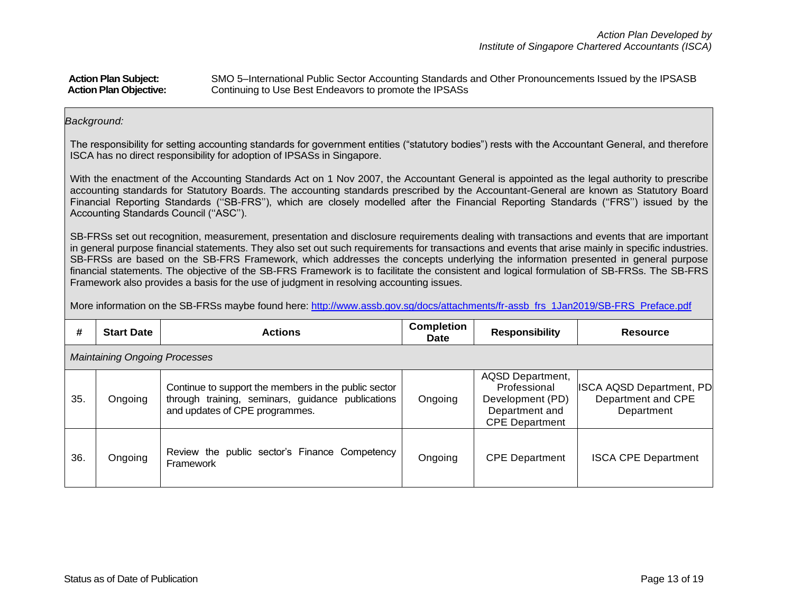| <b>Action Plan Subject:</b>   | SMO 5-International Public Sector Accounting Standards and Other Pronouncements Issued by the IPSASB |
|-------------------------------|------------------------------------------------------------------------------------------------------|
| <b>Action Plan Objective:</b> | Continuing to Use Best Endeavors to promote the IPSASs                                               |

### *Background:*

The responsibility for setting accounting standards for government entities ("statutory bodies") rests with the Accountant General, and therefore ISCA has no direct responsibility for adoption of IPSASs in Singapore.

With the enactment of the Accounting Standards Act on 1 Nov 2007, the Accountant General is appointed as the legal authority to prescribe accounting standards for Statutory Boards. The accounting standards prescribed by the Accountant-General are known as Statutory Board Financial Reporting Standards (''SB-FRS''), which are closely modelled after the Financial Reporting Standards (''FRS'') issued by the Accounting Standards Council (''ASC'').

SB-FRSs set out recognition, measurement, presentation and disclosure requirements dealing with transactions and events that are important in general purpose financial statements. They also set out such requirements for transactions and events that arise mainly in specific industries. SB-FRSs are based on the SB-FRS Framework, which addresses the concepts underlying the information presented in general purpose financial statements. The objective of the SB-FRS Framework is to facilitate the consistent and logical formulation of SB-FRSs. The SB-FRS Framework also provides a basis for the use of judgment in resolving accounting issues.

More information on the SB-FRSs maybe found here: [http://www.assb.gov.sg/docs/attachments/fr-assb\\_frs\\_1Jan2019/SB-FRS\\_Preface.pdf](http://www.assb.gov.sg/docs/attachments/fr-assb_frs_1Jan2019/SB-FRS_Preface.pdf)

| #                                    | <b>Start Date</b> | <b>Actions</b>                                                                                                                              | <b>Completion</b><br>Date | <b>Responsibility</b>                                                                           | Resource                                                            |
|--------------------------------------|-------------------|---------------------------------------------------------------------------------------------------------------------------------------------|---------------------------|-------------------------------------------------------------------------------------------------|---------------------------------------------------------------------|
| <b>Maintaining Ongoing Processes</b> |                   |                                                                                                                                             |                           |                                                                                                 |                                                                     |
| 35.                                  | Ongoing           | Continue to support the members in the public sector<br>through training, seminars, guidance publications<br>and updates of CPE programmes. | Ongoing                   | AQSD Department,<br>Professional<br>Development (PD)<br>Department and<br><b>CPE Department</b> | <b>ISCA AQSD Department, PD</b><br>Department and CPE<br>Department |
| 36.                                  | Ongoing           | Review the public sector's Finance Competency<br>Framework                                                                                  | Ongoing                   | <b>CPE Department</b>                                                                           | <b>ISCA CPE Department</b>                                          |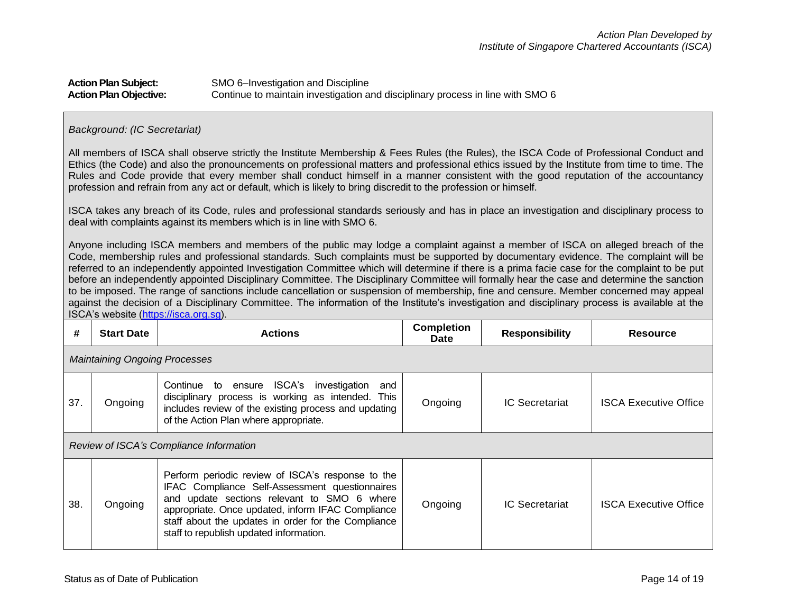# **Action Plan Subject:** SMO 6–Investigation and Discipline **Action Plan Objective:** Continue to maintain investigation and disciplinary process in line with SMO 6

#### *Background: (IC Secretariat)*

All members of ISCA shall observe strictly the Institute Membership & Fees Rules (the Rules), the ISCA Code of Professional Conduct and Ethics (the Code) and also the pronouncements on professional matters and professional ethics issued by the Institute from time to time. The Rules and Code provide that every member shall conduct himself in a manner consistent with the good reputation of the accountancy profession and refrain from any act or default, which is likely to bring discredit to the profession or himself.

ISCA takes any breach of its Code, rules and professional standards seriously and has in place an investigation and disciplinary process to deal with complaints against its members which is in line with SMO 6.

Anyone including ISCA members and members of the public may lodge a complaint against a member of ISCA on alleged breach of the Code, membership rules and professional standards. Such complaints must be supported by documentary evidence. The complaint will be referred to an independently appointed Investigation Committee which will determine if there is a prima facie case for the complaint to be put before an independently appointed Disciplinary Committee. The Disciplinary Committee will formally hear the case and determine the sanction to be imposed. The range of sanctions include cancellation or suspension of membership, fine and censure. Member concerned may appeal against the decision of a Disciplinary Committee. The information of the Institute's investigation and disciplinary process is available at the ISCA's website [\(https://isca.org.sg\)](https://isca.org.sg/).

| #                                       | <b>Start Date</b>                    | <b>Actions</b>                                                                                                                                                                                                                                                                                               | <b>Completion</b><br><b>Date</b> | <b>Responsibility</b> | <b>Resource</b>              |
|-----------------------------------------|--------------------------------------|--------------------------------------------------------------------------------------------------------------------------------------------------------------------------------------------------------------------------------------------------------------------------------------------------------------|----------------------------------|-----------------------|------------------------------|
|                                         | <b>Maintaining Ongoing Processes</b> |                                                                                                                                                                                                                                                                                                              |                                  |                       |                              |
| 37.                                     | Ongoing                              | Continue to ensure ISCA's investigation<br>and<br>disciplinary process is working as intended. This<br>includes review of the existing process and updating<br>of the Action Plan where appropriate.                                                                                                         | Ongoing                          | <b>IC Secretariat</b> | <b>ISCA Executive Office</b> |
| Review of ISCA's Compliance Information |                                      |                                                                                                                                                                                                                                                                                                              |                                  |                       |                              |
| 38.                                     | Ongoing                              | Perform periodic review of ISCA's response to the<br>IFAC Compliance Self-Assessment questionnaires<br>update sections relevant to SMO 6 where<br>and<br>appropriate. Once updated, inform IFAC Compliance<br>staff about the updates in order for the Compliance<br>staff to republish updated information. | Ongoing                          | <b>IC Secretariat</b> | <b>ISCA Executive Office</b> |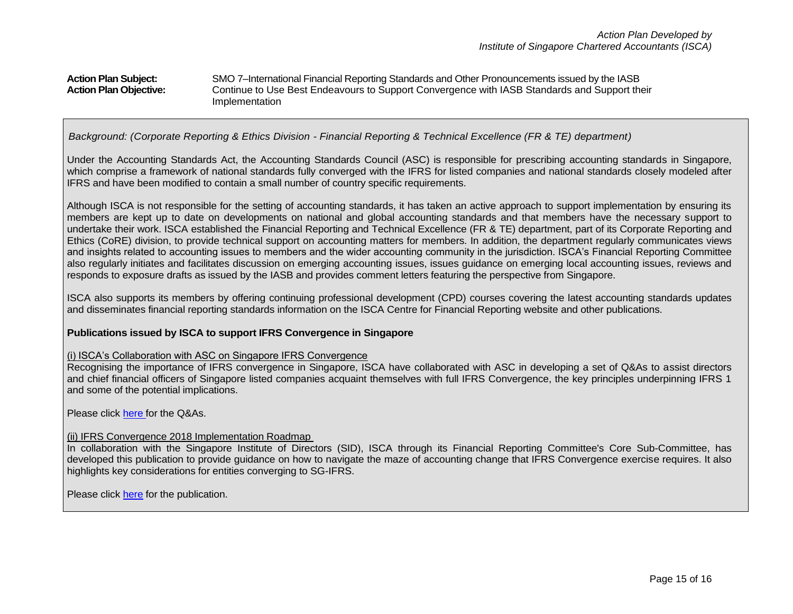## **Action Plan Subject:** SMO 7–International Financial Reporting Standards and Other Pronouncements issued by the IASB **Action Plan Objective:** Continue to Use Best Endeavours to Support Convergence with IASB Standards and Support their Implementation

*Background: (Corporate Reporting & Ethics Division - Financial Reporting & Technical Excellence (FR & TE) department)*

Under the Accounting Standards Act, the Accounting Standards Council (ASC) is responsible for prescribing accounting standards in Singapore, which comprise a framework of national standards fully converged with the IFRS for listed companies and national standards closely modeled after IFRS and have been modified to contain a small number of country specific requirements.

Although ISCA is not responsible for the setting of accounting standards, it has taken an active approach to support implementation by ensuring its members are kept up to date on developments on national and global accounting standards and that members have the necessary support to undertake their work. ISCA established the Financial Reporting and Technical Excellence (FR & TE) department, part of its Corporate Reporting and Ethics (CoRE) division, to provide technical support on accounting matters for members. In addition, the department regularly communicates views and insights related to accounting issues to members and the wider accounting community in the jurisdiction. ISCA's Financial Reporting Committee also regularly initiates and facilitates discussion on emerging accounting issues, issues guidance on emerging local accounting issues, reviews and responds to exposure drafts as issued by the IASB and provides comment letters featuring the perspective from Singapore.

ISCA also supports its members by offering continuing professional development (CPD) courses covering the latest accounting standards updates and disseminates financial reporting standards information on the ISCA Centre for Financial Reporting website and other publications.

#### **Publications issued by ISCA to support IFRS Convergence in Singapore**

#### (i) ISCA's Collaboration with ASC on Singapore IFRS Convergence

Recognising the importance of IFRS convergence in Singapore, ISCA have collaborated with ASC in developing a set of Q&As to assist directors and chief financial officers of Singapore listed companies acquaint themselves with full IFRS Convergence, the key principles underpinning IFRS 1 and some of the potential implications.

Please click [here](http://www.isca.org.sg/tkc/fr/resources/practical-guidances/practical-guidances/2016/november/ifrs-convergence-are-you-on-track/) for the Q&As.

## (ii) IFRS Convergence 2018 Implementation Roadmap

In collaboration with the Singapore Institute of Directors (SID), ISCA through its Financial Reporting Committee's Core Sub-Committee, has developed this publication to provide guidance on how to navigate the maze of accounting change that IFRS Convergence exercise requires. It also highlights key considerations for entities converging to SG-IFRS.

Please click [here](https://isca.org.sg/media/2238610/ifrs-convergence-2018-implementation-roadmap.pdf) for the publication.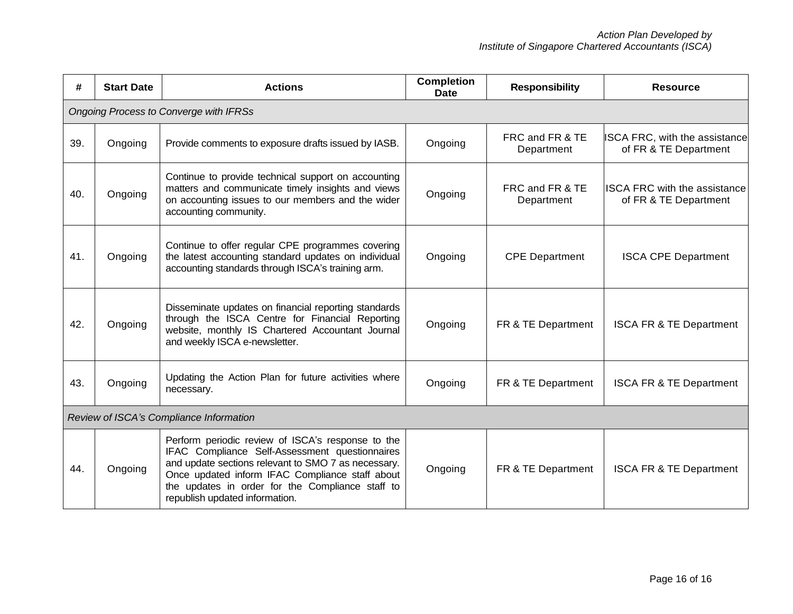| #   | <b>Start Date</b>                             | <b>Actions</b>                                                                                                                                                                                                                                                                                      | <b>Completion</b><br><b>Date</b> | <b>Responsibility</b>         | <b>Resource</b>                                               |  |
|-----|-----------------------------------------------|-----------------------------------------------------------------------------------------------------------------------------------------------------------------------------------------------------------------------------------------------------------------------------------------------------|----------------------------------|-------------------------------|---------------------------------------------------------------|--|
|     | <b>Ongoing Process to Converge with IFRSs</b> |                                                                                                                                                                                                                                                                                                     |                                  |                               |                                                               |  |
| 39. | Ongoing                                       | Provide comments to exposure drafts issued by IASB.                                                                                                                                                                                                                                                 | Ongoing                          | FRC and FR & TE<br>Department | <b>ISCA FRC, with the assistance</b><br>of FR & TE Department |  |
| 40. | Ongoing                                       | Continue to provide technical support on accounting<br>matters and communicate timely insights and views<br>on accounting issues to our members and the wider<br>accounting community.                                                                                                              | Ongoing                          | FRC and FR & TE<br>Department | <b>ISCA FRC with the assistance</b><br>of FR & TE Department  |  |
| 41. | Ongoing                                       | Continue to offer regular CPE programmes covering<br>the latest accounting standard updates on individual<br>accounting standards through ISCA's training arm.                                                                                                                                      | Ongoing                          | <b>CPE Department</b>         | <b>ISCA CPE Department</b>                                    |  |
| 42. | Ongoing                                       | Disseminate updates on financial reporting standards<br>through the ISCA Centre for Financial Reporting<br>website, monthly IS Chartered Accountant Journal<br>and weekly ISCA e-newsletter.                                                                                                        | Ongoing                          | FR & TE Department            | <b>ISCA FR &amp; TE Department</b>                            |  |
| 43. | Ongoing                                       | Updating the Action Plan for future activities where<br>necessary.                                                                                                                                                                                                                                  | Ongoing                          | FR & TE Department            | <b>ISCA FR &amp; TE Department</b>                            |  |
|     | Review of ISCA's Compliance Information       |                                                                                                                                                                                                                                                                                                     |                                  |                               |                                                               |  |
| 44. | Ongoing                                       | Perform periodic review of ISCA's response to the<br>IFAC Compliance Self-Assessment questionnaires<br>and update sections relevant to SMO 7 as necessary.<br>Once updated inform IFAC Compliance staff about<br>the updates in order for the Compliance staff to<br>republish updated information. | Ongoing                          | FR & TE Department            | <b>ISCA FR &amp; TE Department</b>                            |  |